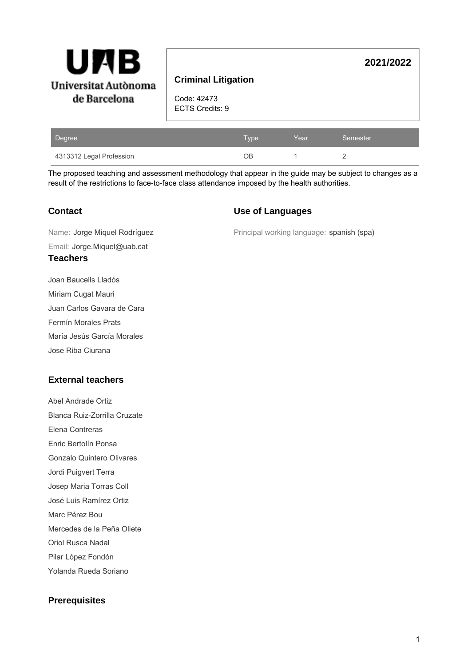

# **Criminal Litigation**

Code: 42473 ECTS Credits: 9

| Degree                   | Type | Year | Semester |
|--------------------------|------|------|----------|
| 4313312 Legal Profession | ЭB   |      |          |

The proposed teaching and assessment methodology that appear in the guide may be subject to changes as a result of the restrictions to face-to-face class attendance imposed by the health authorities.

### **Contact**

#### **Use of Languages**

Principal working language: spanish (spa)

**2021/2022**

Email: Jorge.Miquel@uab.cat Name: Jorge Miquel Rodríguez

- **Teachers**
- Joan Baucells Lladós Míriam Cugat Mauri Juan Carlos Gavara de Cara
- Fermín Morales Prats
- María Jesús García Morales
- Jose Riba Ciurana

# **External teachers**

- Abel Andrade Ortiz
- Blanca Ruiz-Zorrilla Cruzate
- Elena Contreras
- Enric Bertolín Ponsa
- Gonzalo Quintero Olivares
- Jordi Puigvert Terra
- Josep Maria Torras Coll
- José Luis Ramírez Ortiz
- Marc Pérez Bou
- Mercedes de la Peña Oliete
- Oriol Rusca Nadal
- Pilar López Fondón
- Yolanda Rueda Soriano

# **Prerequisites**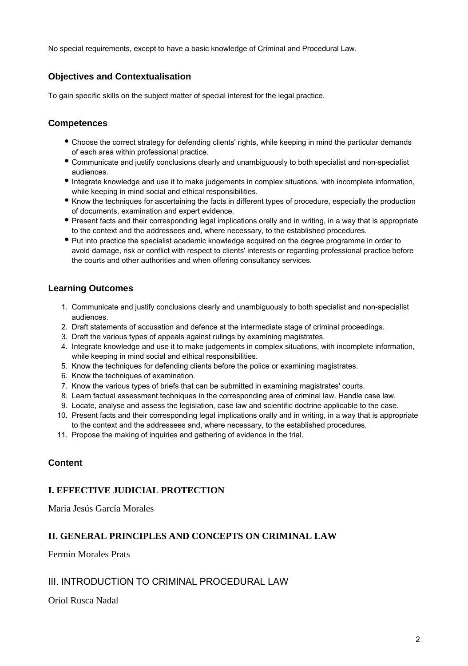No special requirements, except to have a basic knowledge of Criminal and Procedural Law.

# **Objectives and Contextualisation**

To gain specific skills on the subject matter of special interest for the legal practice.

# **Competences**

- Choose the correct strategy for defending clients' rights, while keeping in mind the particular demands of each area within professional practice.
- Communicate and justify conclusions clearly and unambiguously to both specialist and non-specialist audiences.
- Integrate knowledge and use it to make judgements in complex situations, with incomplete information, while keeping in mind social and ethical responsibilities.
- Know the techniques for ascertaining the facts in different types of procedure, especially the production of documents, examination and expert evidence.
- Present facts and their corresponding legal implications orally and in writing, in a way that is appropriate to the context and the addressees and, where necessary, to the established procedures.
- Put into practice the specialist academic knowledge acquired on the degree programme in order to avoid damage, risk or conflict with respect to clients' interests or regarding professional practice before the courts and other authorities and when offering consultancy services.

# **Learning Outcomes**

- 1. Communicate and justify conclusions clearly and unambiguously to both specialist and non-specialist audiences.
- 2. Draft statements of accusation and defence at the intermediate stage of criminal proceedings.
- 3. Draft the various types of appeals against rulings by examining magistrates.
- 4. Integrate knowledge and use it to make judgements in complex situations, with incomplete information, while keeping in mind social and ethical responsibilities.
- 5. Know the techniques for defending clients before the police or examining magistrates.
- 6. Know the techniques of examination.
- 7. Know the various types of briefs that can be submitted in examining magistrates' courts.
- 8. Learn factual assessment techniques in the corresponding area of criminal law. Handle case law.
- 9. Locate, analyse and assess the legislation, case law and scientific doctrine applicable to the case.
- 10. Present facts and their corresponding legal implications orally and in writing, in a way that is appropriate to the context and the addressees and, where necessary, to the established procedures.
- 11. Propose the making of inquiries and gathering of evidence in the trial.

#### **Content**

#### **I. EFFECTIVE JUDICIAL PROTECTION**

Maria Jesús García Morales

# **II. GENERAL PRINCIPLES AND CONCEPTS ON CRIMINAL LAW**

Fermín Morales Prats

#### III. INTRODUCTION TO CRIMINAL PROCEDURAL LAW

Oriol Rusca Nadal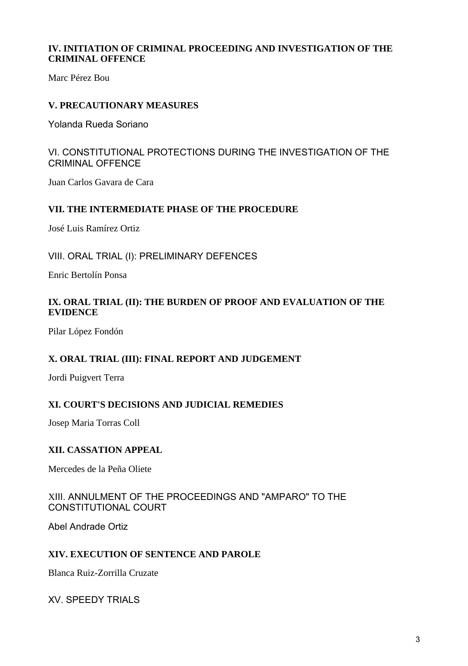## **IV. INITIATION OF CRIMINAL PROCEEDING AND INVESTIGATION OF THE CRIMINAL OFFENCE**

Marc Pérez Bou

# **V. PRECAUTIONARY MEASURES**

Yolanda Rueda Soriano

# VI. CONSTITUTIONAL PROTECTIONS DURING THE INVESTIGATION OF THE CRIMINAL OFFENCE

Juan Carlos Gavara de Cara

### **VII. THE INTERMEDIATE PHASE OF THE PROCEDURE**

José Luis Ramírez Ortiz

VIII. ORAL TRIAL (I): PRELIMINARY DEFENCES

Enric Bertolín Ponsa

### **IX. ORAL TRIAL (II): THE BURDEN OF PROOF AND EVALUATION OF THE EVIDENCE**

Pilar López Fondón

# **X. ORAL TRIAL (III): FINAL REPORT AND JUDGEMENT**

Jordi Puigvert Terra

# **XI. COURT'S DECISIONS AND JUDICIAL REMEDIES**

Josep Maria Torras Coll

#### **XII. CASSATION APPEAL**

Mercedes de la Peña Oliete

### XIII. ANNULMENT OF THE PROCEEDINGS AND "AMPARO" TO THE CONSTITUTIONAL COURT

Abel Andrade Ortiz

#### **XIV. EXECUTION OF SENTENCE AND PAROLE**

Blanca Ruiz-Zorrilla Cruzate

XV. SPEEDY TRIALS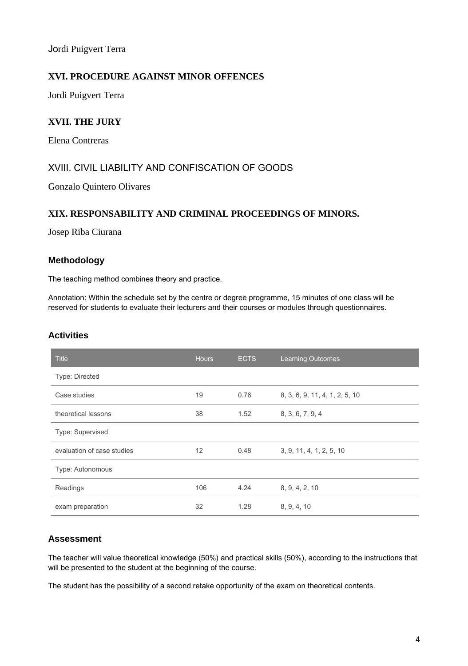Jordi Puigvert Terra

### **XVI. PROCEDURE AGAINST MINOR OFFENCES**

Jordi Puigvert Terra

### **XVII. THE JURY**

Elena Contreras

### XVIII. CIVIL LIABILITY AND CONFISCATION OF GOODS

Gonzalo Quintero Olivares

#### **XIX. RESPONSABILITY AND CRIMINAL PROCEEDINGS OF MINORS.**

Josep Riba Ciurana

#### **Methodology**

The teaching method combines theory and practice.

Annotation: Within the schedule set by the centre or degree programme, 15 minutes of one class will be reserved for students to evaluate their lecturers and their courses or modules through questionnaires.

#### **Activities**

| <b>Title</b>               | <b>Hours</b> | <b>ECTS</b> | <b>Learning Outcomes</b>       |
|----------------------------|--------------|-------------|--------------------------------|
| Type: Directed             |              |             |                                |
| Case studies               | 19           | 0.76        | 8, 3, 6, 9, 11, 4, 1, 2, 5, 10 |
| theoretical lessons        | 38           | 1.52        | 8, 3, 6, 7, 9, 4               |
| Type: Supervised           |              |             |                                |
| evaluation of case studies | 12           | 0.48        | 3, 9, 11, 4, 1, 2, 5, 10       |
| Type: Autonomous           |              |             |                                |
| Readings                   | 106          | 4.24        | 8, 9, 4, 2, 10                 |
| exam preparation           | 32           | 1.28        | 8, 9, 4, 10                    |

#### **Assessment**

The teacher will value theoretical knowledge (50%) and practical skills (50%), according to the instructions that will be presented to the student at the beginning of the course.

The student has the possibility of a second retake opportunity of the exam on theoretical contents.